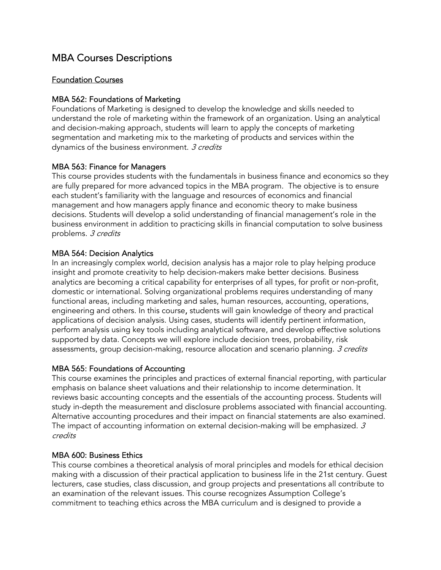# MBA Courses Descriptions

# Foundation Courses

# MBA 562: Foundations of Marketing

Foundations of Marketing is designed to develop the knowledge and skills needed to understand the role of marketing within the framework of an organization. Using an analytical and decision-making approach, students will learn to apply the concepts of marketing segmentation and marketing mix to the marketing of products and services within the dynamics of the business environment. 3 credits

# MBA 563: Finance for Managers

This course provides students with the fundamentals in business finance and economics so they are fully prepared for more advanced topics in the MBA program. The objective is to ensure each student's familiarity with the language and resources of economics and financial management and how managers apply finance and economic theory to make business decisions. Students will develop a solid understanding of financial management's role in the business environment in addition to practicing skills in financial computation to solve business problems. 3 credits

# MBA 564: Decision Analytics

In an increasingly complex world, decision analysis has a major role to play helping produce insight and promote creativity to help decision-makers make better decisions. Business analytics are becoming a critical capability for enterprises of all types, for profit or non-profit, domestic or international. Solving organizational problems requires understanding of many functional areas, including marketing and sales, human resources, accounting, operations, engineering and others. In this course, students will gain knowledge of theory and practical applications of decision analysis. Using cases, students will identify pertinent information, perform analysis using key tools including analytical software, and develop effective solutions supported by data. Concepts we will explore include decision trees, probability, risk assessments, group decision-making, resource allocation and scenario planning. 3 credits

#### MBA 565: Foundations of Accounting

This course examines the principles and practices of external financial reporting, with particular emphasis on balance sheet valuations and their relationship to income determination. It reviews basic accounting concepts and the essentials of the accounting process. Students will study in-depth the measurement and disclosure problems associated with financial accounting. Alternative accounting procedures and their impact on financial statements are also examined. The impact of accounting information on external decision-making will be emphasized.  $3$ credits

#### MBA 600: Business Ethics

This course combines a theoretical analysis of moral principles and models for ethical decision making with a discussion of their practical application to business life in the 21st century. Guest lecturers, case studies, class discussion, and group projects and presentations all contribute to an examination of the relevant issues. This course recognizes Assumption College's commitment to teaching ethics across the MBA curriculum and is designed to provide a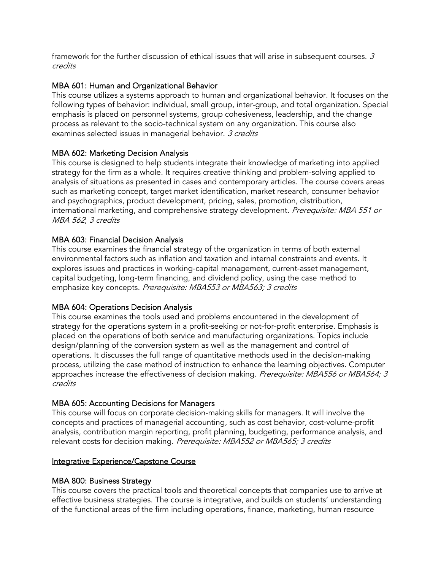framework for the further discussion of ethical issues that will arise in subsequent courses.  $3$ credits

# MBA 601: Human and Organizational Behavior

This course utilizes a systems approach to human and organizational behavior. It focuses on the following types of behavior: individual, small group, inter-group, and total organization. Special emphasis is placed on personnel systems, group cohesiveness, leadership, and the change process as relevant to the socio-technical system on any organization. This course also examines selected issues in managerial behavior. 3 credits

# MBA 602: Marketing Decision Analysis

This course is designed to help students integrate their knowledge of marketing into applied strategy for the firm as a whole. It requires creative thinking and problem-solving applied to analysis of situations as presented in cases and contemporary articles. The course covers areas such as marketing concept, target market identification, market research, consumer behavior and psychographics, product development, pricing, sales, promotion, distribution, international marketing, and comprehensive strategy development. Prerequisite: MBA 551 or MBA 562; 3 credits

# MBA 603: Financial Decision Analysis

This course examines the financial strategy of the organization in terms of both external environmental factors such as inflation and taxation and internal constraints and events. It explores issues and practices in working-capital management, current-asset management, capital budgeting, long-term financing, and dividend policy, using the case method to emphasize key concepts. Prerequisite: MBA553 or MBA563; 3 credits

# MBA 604: Operations Decision Analysis

This course examines the tools used and problems encountered in the development of strategy for the operations system in a profit-seeking or not-for-profit enterprise. Emphasis is placed on the operations of both service and manufacturing organizations. Topics include design/planning of the conversion system as well as the management and control of operations. It discusses the full range of quantitative methods used in the decision-making process, utilizing the case method of instruction to enhance the learning objectives. Computer approaches increase the effectiveness of decision making. Prerequisite: MBA556 or MBA564; 3 credits

# MBA 605: Accounting Decisions for Managers

This course will focus on corporate decision-making skills for managers. It will involve the concepts and practices of managerial accounting, such as cost behavior, cost-volume-profit analysis, contribution margin reporting, profit planning, budgeting, performance analysis, and relevant costs for decision making. Prerequisite: MBA552 or MBA565; 3 credits

# Integrative Experience/Capstone Course

# MBA 800: Business Strategy

This course covers the practical tools and theoretical concepts that companies use to arrive at effective business strategies. The course is integrative, and builds on students' understanding of the functional areas of the firm including operations, finance, marketing, human resource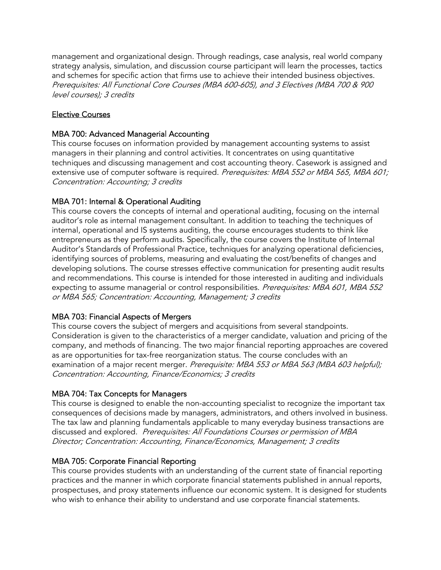management and organizational design. Through readings, case analysis, real world company strategy analysis, simulation, and discussion course participant will learn the processes, tactics and schemes for specific action that firms use to achieve their intended business objectives. Prerequisites: All Functional Core Courses (MBA 600-605), and 3 Electives (MBA 700 & 900 level courses); 3 credits

# Elective Courses

# MBA 700: Advanced Managerial Accounting

This course focuses on information provided by management accounting systems to assist managers in their planning and control activities. It concentrates on using quantitative techniques and discussing management and cost accounting theory. Casework is assigned and extensive use of computer software is required. Prerequisites: MBA 552 or MBA 565, MBA 601; Concentration: Accounting; 3 credits

# MBA 701: Internal & Operational Auditing

This course covers the concepts of internal and operational auditing, focusing on the internal auditor's role as internal management consultant. In addition to teaching the techniques of internal, operational and IS systems auditing, the course encourages students to think like entrepreneurs as they perform audits. Specifically, the course covers the Institute of Internal Auditor's Standards of Professional Practice, techniques for analyzing operational deficiencies, identifying sources of problems, measuring and evaluating the cost/benefits of changes and developing solutions. The course stresses effective communication for presenting audit results and recommendations. This course is intended for those interested in auditing and individuals expecting to assume managerial or control responsibilities. Prerequisites: MBA 601, MBA 552 or MBA 565; Concentration: Accounting, Management; 3 credits

# MBA 703: Financial Aspects of Mergers

This course covers the subject of mergers and acquisitions from several standpoints. Consideration is given to the characteristics of a merger candidate, valuation and pricing of the company, and methods of financing. The two major financial reporting approaches are covered as are opportunities for tax-free reorganization status. The course concludes with an examination of a major recent merger. Prerequisite: MBA 553 or MBA 563 (MBA 603 helpful); Concentration: Accounting, Finance/Economics; 3 credits

# MBA 704: Tax Concepts for Managers

This course is designed to enable the non-accounting specialist to recognize the important tax consequences of decisions made by managers, administrators, and others involved in business. The tax law and planning fundamentals applicable to many everyday business transactions are discussed and explored. Prerequisites: All Foundations Courses or permission of MBA Director; Concentration: Accounting, Finance/Economics, Management; 3 credits

# MBA 705: Corporate Financial Reporting

This course provides students with an understanding of the current state of financial reporting practices and the manner in which corporate financial statements published in annual reports, prospectuses, and proxy statements influence our economic system. It is designed for students who wish to enhance their ability to understand and use corporate financial statements.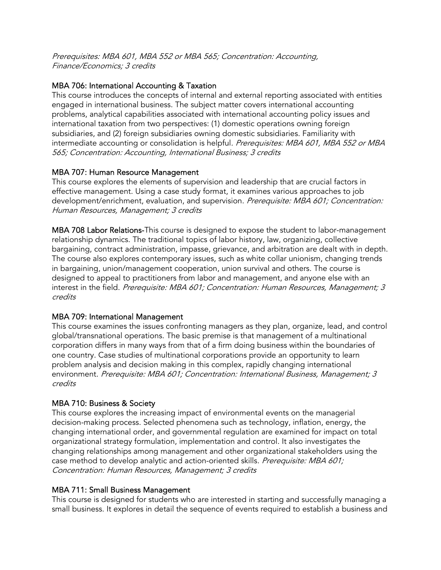Prerequisites: MBA 601, MBA 552 or MBA 565; Concentration: Accounting, Finance/Economics; 3 credits

# MBA 706: International Accounting & Taxation

This course introduces the concepts of internal and external reporting associated with entities engaged in international business. The subject matter covers international accounting problems, analytical capabilities associated with international accounting policy issues and international taxation from two perspectives: (1) domestic operations owning foreign subsidiaries, and (2) foreign subsidiaries owning domestic subsidiaries. Familiarity with intermediate accounting or consolidation is helpful. Prerequisites: MBA 601, MBA 552 or MBA 565; Concentration: Accounting, International Business; 3 credits

# MBA 707: Human Resource Management

This course explores the elements of supervision and leadership that are crucial factors in effective management. Using a case study format, it examines various approaches to job development/enrichment, evaluation, and supervision. Prerequisite: MBA 601; Concentration: Human Resources, Management; 3 credits

MBA 708 Labor Relations-This course is designed to expose the student to labor-management relationship dynamics. The traditional topics of labor history, law, organizing, collective bargaining, contract administration, impasse, grievance, and arbitration are dealt with in depth. The course also explores contemporary issues, such as white collar unionism, changing trends in bargaining, union/management cooperation, union survival and others. The course is designed to appeal to practitioners from labor and management, and anyone else with an interest in the field. Prerequisite: MBA 601; Concentration: Human Resources, Management; 3 credits

# MBA 709: International Management

This course examines the issues confronting managers as they plan, organize, lead, and control global/transnational operations. The basic premise is that management of a multinational corporation differs in many ways from that of a firm doing business within the boundaries of one country. Case studies of multinational corporations provide an opportunity to learn problem analysis and decision making in this complex, rapidly changing international environment. Prerequisite: MBA 601; Concentration: International Business, Management; 3 credits

# MBA 710: Business & Society

This course explores the increasing impact of environmental events on the managerial decision-making process. Selected phenomena such as technology, inflation, energy, the changing international order, and governmental regulation are examined for impact on total organizational strategy formulation, implementation and control. It also investigates the changing relationships among management and other organizational stakeholders using the case method to develop analytic and action-oriented skills. Prerequisite: MBA 601; Concentration: Human Resources, Management; 3 credits

# MBA 711: Small Business Management

This course is designed for students who are interested in starting and successfully managing a small business. It explores in detail the sequence of events required to establish a business and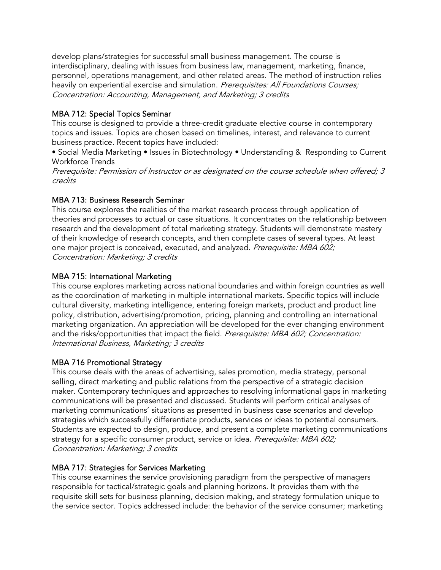develop plans/strategies for successful small business management. The course is interdisciplinary, dealing with issues from business law, management, marketing, finance, personnel, operations management, and other related areas. The method of instruction relies heavily on experiential exercise and simulation. Prerequisites: All Foundations Courses; Concentration: Accounting, Management, and Marketing; 3 credits

# MBA 712: Special Topics Seminar

This course is designed to provide a three-credit graduate elective course in contemporary topics and issues. Topics are chosen based on timelines, interest, and relevance to current business practice. Recent topics have included:

• Social Media Marketing • Issues in Biotechnology • Understanding & Responding to Current Workforce Trends

Prerequisite: Permission of Instructor or as designated on the course schedule when offered; 3 credits

# MBA 713: Business Research Seminar

This course explores the realities of the market research process through application of theories and processes to actual or case situations. It concentrates on the relationship between research and the development of total marketing strategy. Students will demonstrate mastery of their knowledge of research concepts, and then complete cases of several types. At least one major project is conceived, executed, and analyzed. Prerequisite: MBA 602; Concentration: Marketing; 3 credits

# MBA 715: International Marketing

This course explores marketing across national boundaries and within foreign countries as well as the coordination of marketing in multiple international markets. Specific topics will include cultural diversity, marketing intelligence, entering foreign markets, product and product line policy, distribution, advertising/promotion, pricing, planning and controlling an international marketing organization. An appreciation will be developed for the ever changing environment and the risks/opportunities that impact the field. Prerequisite: MBA 602; Concentration: International Business, Marketing; 3 credits

# MBA 716 Promotional Strategy

This course deals with the areas of advertising, sales promotion, media strategy, personal selling, direct marketing and public relations from the perspective of a strategic decision maker. Contemporary techniques and approaches to resolving informational gaps in marketing communications will be presented and discussed. Students will perform critical analyses of marketing communications' situations as presented in business case scenarios and develop strategies which successfully differentiate products, services or ideas to potential consumers. Students are expected to design, produce, and present a complete marketing communications strategy for a specific consumer product, service or idea. Prerequisite: MBA 602; Concentration: Marketing; 3 credits

# MBA 717: Strategies for Services Marketing

This course examines the service provisioning paradigm from the perspective of managers responsible for tactical/strategic goals and planning horizons. It provides them with the requisite skill sets for business planning, decision making, and strategy formulation unique to the service sector. Topics addressed include: the behavior of the service consumer; marketing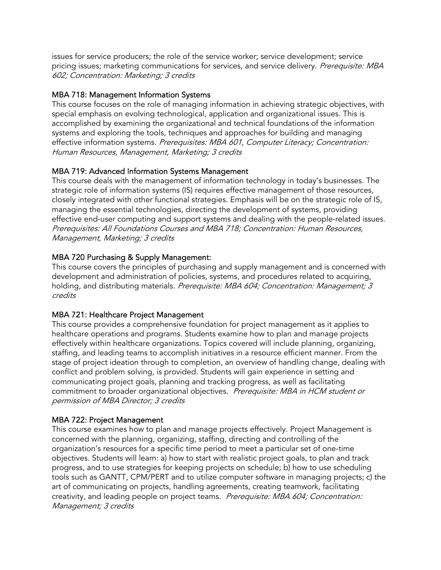issues for service producers; the role of the service worker; service development; service pricing issues; marketing communications for services, and service delivery. Prerequisite: MBA 602; Concentration: Marketing; 3 credits

# MBA 718: Management Information Systems

This course focuses on the role of managing information in achieving strategic objectives, with special emphasis on evolving technological, application and organizational issues. This is accomplished by examining the organizational and technical foundations of the information systems and exploring the tools, techniques and approaches for building and managing effective information systems. Prerequisites: MBA 601, Computer Literacy; Concentration: Human Resources, Management, Marketing; 3 credits

# MBA 719: Advanced Information Systems Management

This course deals with the management of information technology in today's businesses. The strategic role of information systems (IS) requires effective management of those resources, closely integrated with other functional strategies. Emphasis will be on the strategic role of IS, managing the essential technologies, directing the development of systems, providing effective end-user computing and support systems and dealing with the people-related issues. Prerequisites: All Foundations Courses and MBA 718; Concentration: Human Resources, Management, Marketing; 3 credits

# MBA 720 Purchasing & Supply Management:

This course covers the principles of purchasing and supply management and is concerned with development and administration of policies, systems, and procedures related to acquiring, holding, and distributing materials. Prerequisite: MBA 604; Concentration: Management; 3 credits

# MBA 721: Healthcare Project Management

This course provides a comprehensive foundation for project management as it applies to healthcare operations and programs. Students examine how to plan and manage projects effectively within healthcare organizations. Topics covered will include planning, organizing, staffing, and leading teams to accomplish initiatives in a resource efficient manner. From the stage of project ideation through to completion, an overview of handling change, dealing with conflict and problem solving, is provided. Students will gain experience in setting and communicating project goals, planning and tracking progress, as well as facilitating commitment to broader organizational objectives. Prerequisite: MBA in HCM student or permission of MBA Director; 3 credits

# MBA 722: Project Management

This course examines how to plan and manage projects effectively. Project Management is concerned with the planning, organizing, staffing, directing and controlling of the organization's resources for a specific time period to meet a particular set of one-time objectives. Students will learn: a) how to start with realistic project goals, to plan and track progress, and to use strategies for keeping projects on schedule; b) how to use scheduling tools such as GANTT, CPM/PERT and to utilize computer software in managing projects; c) the art of communicating on projects, handling agreements, creating teamwork, facilitating creativity, and leading people on project teams. Prerequisite: MBA 604; Concentration: Management; 3 credits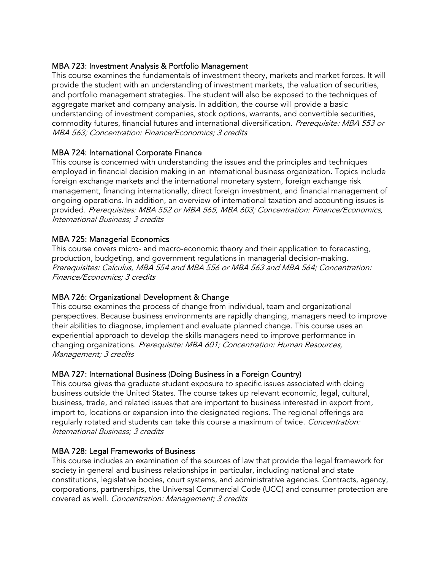# MBA 723: Investment Analysis & Portfolio Management

This course examines the fundamentals of investment theory, markets and market forces. It will provide the student with an understanding of investment markets, the valuation of securities, and portfolio management strategies. The student will also be exposed to the techniques of aggregate market and company analysis. In addition, the course will provide a basic understanding of investment companies, stock options, warrants, and convertible securities, commodity futures, financial futures and international diversification. Prerequisite: MBA 553 or MBA 563; Concentration: Finance/Economics; 3 credits

# MBA 724: International Corporate Finance

This course is concerned with understanding the issues and the principles and techniques employed in financial decision making in an international business organization. Topics include foreign exchange markets and the international monetary system, foreign exchange risk management, financing internationally, direct foreign investment, and financial management of ongoing operations. In addition, an overview of international taxation and accounting issues is provided. Prerequisites: MBA 552 or MBA 565, MBA 603; Concentration: Finance/Economics, International Business; 3 credits

# MBA 725: Managerial Economics

This course covers micro- and macro-economic theory and their application to forecasting, production, budgeting, and government regulations in managerial decision-making. Prerequisites: Calculus, MBA 554 and MBA 556 or MBA 563 and MBA 564; Concentration: Finance/Economics; 3 credits

# MBA 726: Organizational Development & Change

This course examines the process of change from individual, team and organizational perspectives. Because business environments are rapidly changing, managers need to improve their abilities to diagnose, implement and evaluate planned change. This course uses an experiential approach to develop the skills managers need to improve performance in changing organizations. Prerequisite: MBA 601; Concentration: Human Resources, Management; 3 credits

# MBA 727: International Business (Doing Business in a Foreign Country)

This course gives the graduate student exposure to specific issues associated with doing business outside the United States. The course takes up relevant economic, legal, cultural, business, trade, and related issues that are important to business interested in export from, import to, locations or expansion into the designated regions. The regional offerings are regularly rotated and students can take this course a maximum of twice. Concentration: International Business; 3 credits

# MBA 728: Legal Frameworks of Business

This course includes an examination of the sources of law that provide the legal framework for society in general and business relationships in particular, including national and state constitutions, legislative bodies, court systems, and administrative agencies. Contracts, agency, corporations, partnerships, the Universal Commercial Code (UCC) and consumer protection are covered as well. Concentration: Management; 3 credits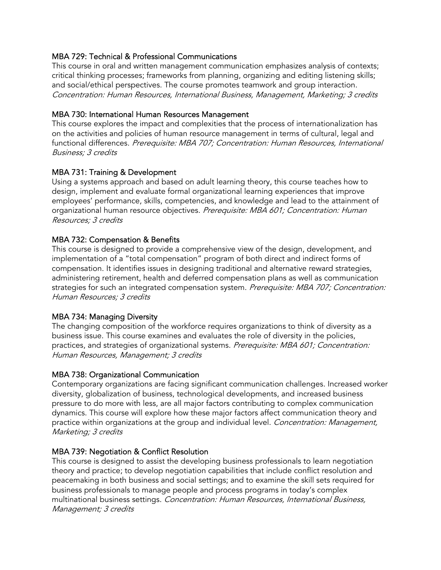# MBA 729: Technical & Professional Communications

This course in oral and written management communication emphasizes analysis of contexts; critical thinking processes; frameworks from planning, organizing and editing listening skills; and social/ethical perspectives. The course promotes teamwork and group interaction. Concentration: Human Resources, International Business, Management, Marketing; 3 credits

#### MBA 730: International Human Resources Management

This course explores the impact and complexities that the process of internationalization has on the activities and policies of human resource management in terms of cultural, legal and functional differences. Prerequisite: MBA 707; Concentration: Human Resources, International Business; 3 credits

# MBA 731: Training & Development

Using a systems approach and based on adult learning theory, this course teaches how to design, implement and evaluate formal organizational learning experiences that improve employees' performance, skills, competencies, and knowledge and lead to the attainment of organizational human resource objectives. Prerequisite: MBA 601; Concentration: Human Resources; 3 credits

#### MBA 732: Compensation & Benefits

This course is designed to provide a comprehensive view of the design, development, and implementation of a "total compensation" program of both direct and indirect forms of compensation. It identifies issues in designing traditional and alternative reward strategies, administering retirement, health and deferred compensation plans as well as communication strategies for such an integrated compensation system. Prerequisite: MBA 707; Concentration: Human Resources; 3 credits

#### MBA 734: Managing Diversity

The changing composition of the workforce requires organizations to think of diversity as a business issue. This course examines and evaluates the role of diversity in the policies, practices, and strategies of organizational systems. Prerequisite: MBA 601; Concentration: Human Resources, Management; 3 credits

#### MBA 738: Organizational Communication

Contemporary organizations are facing significant communication challenges. Increased worker diversity, globalization of business, technological developments, and increased business pressure to do more with less, are all major factors contributing to complex communication dynamics. This course will explore how these major factors affect communication theory and practice within organizations at the group and individual level. *Concentration: Management*, Marketing; 3 credits

#### MBA 739: Negotiation & Conflict Resolution

This course is designed to assist the developing business professionals to learn negotiation theory and practice; to develop negotiation capabilities that include conflict resolution and peacemaking in both business and social settings; and to examine the skill sets required for business professionals to manage people and process programs in today's complex multinational business settings. Concentration: Human Resources, International Business, Management; 3 credits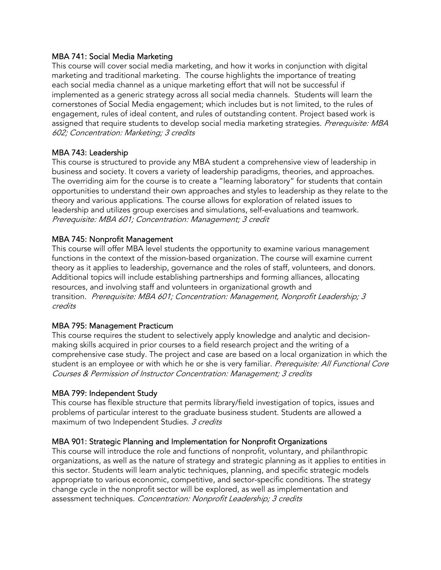# MBA 741: Social Media Marketing

This course will cover social media marketing, and how it works in conjunction with digital marketing and traditional marketing. The course highlights the importance of treating each social media channel as a unique marketing effort that will not be successful if implemented as a generic strategy across all social media channels. Students will learn the cornerstones of Social Media engagement; which includes but is not limited, to the rules of engagement, rules of ideal content, and rules of outstanding content. Project based work is assigned that require students to develop social media marketing strategies. Prerequisite: MBA 602; Concentration: Marketing; 3 credits

# MBA 743: Leadership

This course is structured to provide any MBA student a comprehensive view of leadership in business and society. It covers a variety of leadership paradigms, theories, and approaches. The overriding aim for the course is to create a "learning laboratory" for students that contain opportunities to understand their own approaches and styles to leadership as they relate to the theory and various applications. The course allows for exploration of related issues to leadership and utilizes group exercises and simulations, self-evaluations and teamwork. Prerequisite: MBA 601; Concentration: Management; 3 credit

# MBA 745: Nonprofit Management

This course will offer MBA level students the opportunity to examine various management functions in the context of the mission-based organization. The course will examine current theory as it applies to leadership, governance and the roles of staff, volunteers, and donors. Additional topics will include establishing partnerships and forming alliances, allocating resources, and involving staff and volunteers in organizational growth and transition. Prerequisite: MBA 601; Concentration: Management, Nonprofit Leadership; 3 credits

# MBA 795: Management Practicum

This course requires the student to selectively apply knowledge and analytic and decisionmaking skills acquired in prior courses to a field research project and the writing of a comprehensive case study. The project and case are based on a local organization in which the student is an employee or with which he or she is very familiar. Prerequisite: All Functional Core Courses & Permission of Instructor Concentration: Management; 3 credits

#### MBA 799: Independent Study

This course has flexible structure that permits library/field investigation of topics, issues and problems of particular interest to the graduate business student. Students are allowed a maximum of two Independent Studies. 3 credits

# MBA 901: Strategic Planning and Implementation for Nonprofit Organizations

This course will introduce the role and functions of nonprofit, voluntary, and philanthropic organizations, as well as the nature of strategy and strategic planning as it applies to entities in this sector. Students will learn analytic techniques, planning, and specific strategic models appropriate to various economic, competitive, and sector-specific conditions. The strategy change cycle in the nonprofit sector will be explored, as well as implementation and assessment techniques. Concentration: Nonprofit Leadership; 3 credits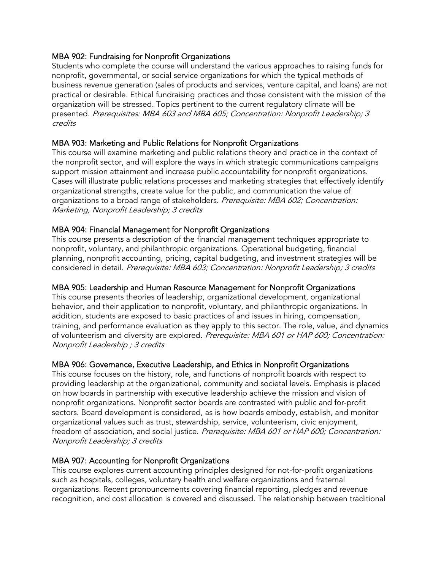# MBA 902: Fundraising for Nonprofit Organizations

Students who complete the course will understand the various approaches to raising funds for nonprofit, governmental, or social service organizations for which the typical methods of business revenue generation (sales of products and services, venture capital, and loans) are not practical or desirable. Ethical fundraising practices and those consistent with the mission of the organization will be stressed. Topics pertinent to the current regulatory climate will be presented. Prerequisites: MBA 603 and MBA 605; Concentration: Nonprofit Leadership; 3 credits

# MBA 903: Marketing and Public Relations for Nonprofit Organizations

This course will examine marketing and public relations theory and practice in the context of the nonprofit sector, and will explore the ways in which strategic communications campaigns support mission attainment and increase public accountability for nonprofit organizations. Cases will illustrate public relations processes and marketing strategies that effectively identify organizational strengths, create value for the public, and communication the value of organizations to a broad range of stakeholders. Prerequisite: MBA 602; Concentration: Marketing, Nonprofit Leadership; 3 credits

# MBA 904: Financial Management for Nonprofit Organizations

This course presents a description of the financial management techniques appropriate to nonprofit, voluntary, and philanthropic organizations. Operational budgeting, financial planning, nonprofit accounting, pricing, capital budgeting, and investment strategies will be considered in detail. Prerequisite: MBA 603; Concentration: Nonprofit Leadership; 3 credits

#### MBA 905: Leadership and Human Resource Management for Nonprofit Organizations

This course presents theories of leadership, organizational development, organizational behavior, and their application to nonprofit, voluntary, and philanthropic organizations. In addition, students are exposed to basic practices of and issues in hiring, compensation, training, and performance evaluation as they apply to this sector. The role, value, and dynamics of volunteerism and diversity are explored. Prerequisite: MBA 601 or HAP 600; Concentration: Nonprofit Leadership ; 3 credits

# MBA 906: Governance, Executive Leadership, and Ethics in Nonprofit Organizations

This course focuses on the history, role, and functions of nonprofit boards with respect to providing leadership at the organizational, community and societal levels. Emphasis is placed on how boards in partnership with executive leadership achieve the mission and vision of nonprofit organizations. Nonprofit sector boards are contrasted with public and for-profit sectors. Board development is considered, as is how boards embody, establish, and monitor organizational values such as trust, stewardship, service, volunteerism, civic enjoyment, freedom of association, and social justice. Prerequisite: MBA 601 or HAP 600; Concentration: Nonprofit Leadership; 3 credits

# MBA 907: Accounting for Nonprofit Organizations

This course explores current accounting principles designed for not-for-profit organizations such as hospitals, colleges, voluntary health and welfare organizations and fraternal organizations. Recent pronouncements covering financial reporting, pledges and revenue recognition, and cost allocation is covered and discussed. The relationship between traditional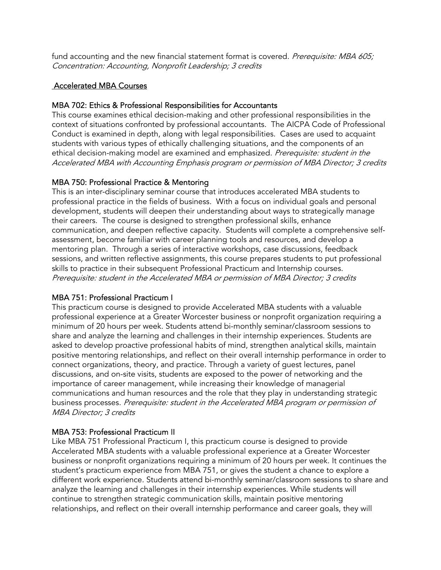fund accounting and the new financial statement format is covered. Prerequisite: MBA 605; Concentration: Accounting, Nonprofit Leadership; 3 credits

# Accelerated MBA Courses

# MBA 702: Ethics & Professional Responsibilities for Accountants

This course examines ethical decision-making and other professional responsibilities in the context of situations confronted by professional accountants. The AICPA Code of Professional Conduct is examined in depth, along with legal responsibilities. Cases are used to acquaint students with various types of ethically challenging situations, and the components of an ethical decision-making model are examined and emphasized. Prerequisite: student in the Accelerated MBA with Accounting Emphasis program or permission of MBA Director; 3 credits

# MBA 750: Professional Practice & Mentoring

This is an inter-disciplinary seminar course that introduces accelerated MBA students to professional practice in the fields of business. With a focus on individual goals and personal development, students will deepen their understanding about ways to strategically manage their careers. The course is designed to strengthen professional skills, enhance communication, and deepen reflective capacity. Students will complete a comprehensive selfassessment, become familiar with career planning tools and resources, and develop a mentoring plan. Through a series of interactive workshops, case discussions, feedback sessions, and written reflective assignments, this course prepares students to put professional skills to practice in their subsequent Professional Practicum and Internship courses. Prerequisite: student in the Accelerated MBA or permission of MBA Director; 3 credits

# MBA 751: Professional Practicum I

This practicum course is designed to provide Accelerated MBA students with a valuable professional experience at a Greater Worcester business or nonprofit organization requiring a minimum of 20 hours per week. Students attend bi-monthly seminar/classroom sessions to share and analyze the learning and challenges in their internship experiences. Students are asked to develop proactive professional habits of mind, strengthen analytical skills, maintain positive mentoring relationships, and reflect on their overall internship performance in order to connect organizations, theory, and practice. Through a variety of guest lectures, panel discussions, and on-site visits, students are exposed to the power of networking and the importance of career management, while increasing their knowledge of managerial communications and human resources and the role that they play in understanding strategic business processes. Prerequisite: student in the Accelerated MBA program or permission of MBA Director; 3 credits

# MBA 753: Professional Practicum II

Like MBA 751 Professional Practicum I, this practicum course is designed to provide Accelerated MBA students with a valuable professional experience at a Greater Worcester business or nonprofit organizations requiring a minimum of 20 hours per week. It continues the student's practicum experience from MBA 751, or gives the student a chance to explore a different work experience. Students attend bi-monthly seminar/classroom sessions to share and analyze the learning and challenges in their internship experiences. While students will continue to strengthen strategic communication skills, maintain positive mentoring relationships, and reflect on their overall internship performance and career goals, they will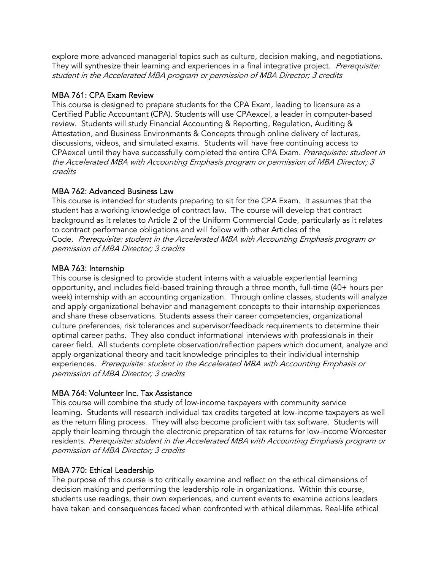explore more advanced managerial topics such as culture, decision making, and negotiations. They will synthesize their learning and experiences in a final integrative project. *Prerequisite:* student in the Accelerated MBA program or permission of MBA Director; 3 credits

# MBA 761: CPA Exam Review

This course is designed to prepare students for the CPA Exam, leading to licensure as a Certified Public Accountant (CPA). Students will use CPAexcel, a leader in computer-based review. Students will study Financial Accounting & Reporting, Regulation, Auditing & Attestation, and Business Environments & Concepts through online delivery of lectures, discussions, videos, and simulated exams. Students will have free continuing access to CPAexcel until they have successfully completed the entire CPA Exam. Prerequisite: student in the Accelerated MBA with Accounting Emphasis program or permission of MBA Director; 3 credits

# MBA 762: Advanced Business Law

This course is intended for students preparing to sit for the CPA Exam. It assumes that the student has a working knowledge of contract law. The course will develop that contract background as it relates to Article 2 of the Uniform Commercial Code, particularly as it relates to contract performance obligations and will follow with other Articles of the Code. Prerequisite: student in the Accelerated MBA with Accounting Emphasis program or permission of MBA Director; 3 credits

# MBA 763: Internship

This course is designed to provide student interns with a valuable experiential learning opportunity, and includes field-based training through a three month, full-time (40+ hours per week) internship with an accounting organization. Through online classes, students will analyze and apply organizational behavior and management concepts to their internship experiences and share these observations. Students assess their career competencies, organizational culture preferences, risk tolerances and supervisor/feedback requirements to determine their optimal career paths. They also conduct informational interviews with professionals in their career field. All students complete observation/reflection papers which document, analyze and apply organizational theory and tacit knowledge principles to their individual internship experiences. Prerequisite: student in the Accelerated MBA with Accounting Emphasis or permission of MBA Director; 3 credits

# MBA 764: Volunteer Inc. Tax Assistance

This course will combine the study of low-income taxpayers with community service learning. Students will research individual tax credits targeted at low-income taxpayers as well as the return filing process. They will also become proficient with tax software. Students will apply their learning through the electronic preparation of tax returns for low-income Worcester residents. Prerequisite: student in the Accelerated MBA with Accounting Emphasis program or permission of MBA Director; 3 credits

# MBA 770: Ethical Leadership

The purpose of this course is to critically examine and reflect on the ethical dimensions of decision making and performing the leadership role in organizations. Within this course, students use readings, their own experiences, and current events to examine actions leaders have taken and consequences faced when confronted with ethical dilemmas. Real-life ethical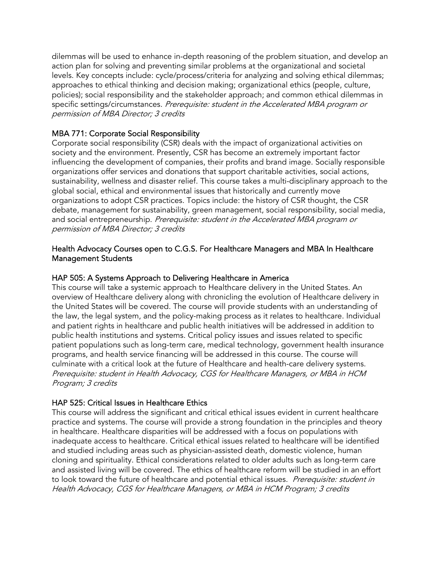dilemmas will be used to enhance in-depth reasoning of the problem situation, and develop an action plan for solving and preventing similar problems at the organizational and societal levels. Key concepts include: cycle/process/criteria for analyzing and solving ethical dilemmas; approaches to ethical thinking and decision making; organizational ethics (people, culture, policies); social responsibility and the stakeholder approach; and common ethical dilemmas in specific settings/circumstances. Prerequisite: student in the Accelerated MBA program or permission of MBA Director; 3 credits

# MBA 771: Corporate Social Responsibility

Corporate social responsibility (CSR) deals with the impact of organizational activities on society and the environment. Presently, CSR has become an extremely important factor influencing the development of companies, their profits and brand image. Socially responsible organizations offer services and donations that support charitable activities, social actions, sustainability, wellness and disaster relief. This course takes a multi-disciplinary approach to the global social, ethical and environmental issues that historically and currently move organizations to adopt CSR practices. Topics include: the history of CSR thought, the CSR debate, management for sustainability, green management, social responsibility, social media, and social entrepreneurship. Prerequisite: student in the Accelerated MBA program or permission of MBA Director; 3 credits

# Health Advocacy Courses open to C.G.S. For Healthcare Managers and MBA In Healthcare Management Students

# HAP 505: A Systems Approach to Delivering Healthcare in America

This course will take a systemic approach to Healthcare delivery in the United States. An overview of Healthcare delivery along with chronicling the evolution of Healthcare delivery in the United States will be covered. The course will provide students with an understanding of the law, the legal system, and the policy-making process as it relates to healthcare. Individual and patient rights in healthcare and public health initiatives will be addressed in addition to public health institutions and systems. Critical policy issues and issues related to specific patient populations such as long-term care, medical technology, government health insurance programs, and health service financing will be addressed in this course. The course will culminate with a critical look at the future of Healthcare and health-care delivery systems. Prerequisite: student in Health Advocacy, CGS for Healthcare Managers, or MBA in HCM Program; 3 credits

# HAP 525: Critical Issues in Healthcare Ethics

This course will address the significant and critical ethical issues evident in current healthcare practice and systems. The course will provide a strong foundation in the principles and theory in healthcare. Healthcare disparities will be addressed with a focus on populations with inadequate access to healthcare. Critical ethical issues related to healthcare will be identified and studied including areas such as physician-assisted death, domestic violence, human cloning and spirituality. Ethical considerations related to older adults such as long-term care and assisted living will be covered. The ethics of healthcare reform will be studied in an effort to look toward the future of healthcare and potential ethical issues. Prerequisite: student in Health Advocacy, CGS for Healthcare Managers, or MBA in HCM Program; 3 credits